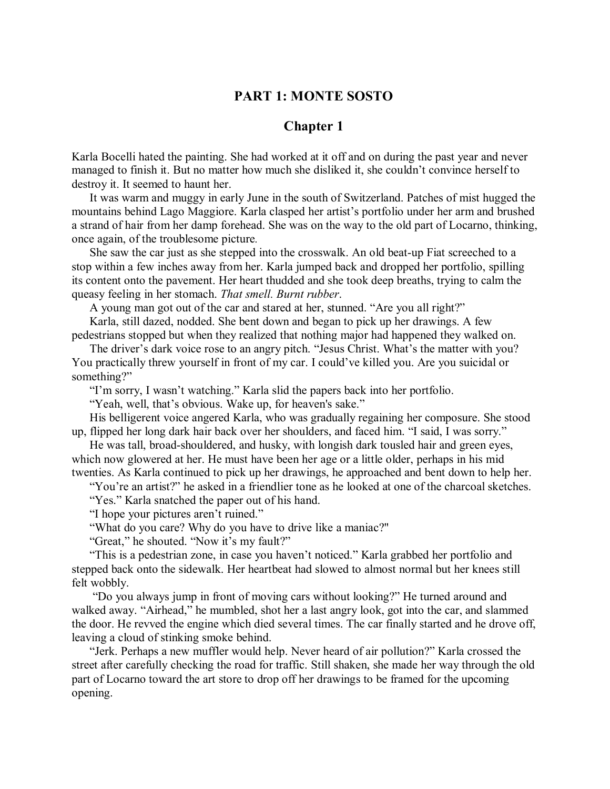## **PART 1: MONTE SOSTO**

## **Chapter 1**

Karla Bocelli hated the painting. She had worked at it off and on during the past year and never managed to finish it. But no matter how much she disliked it, she couldn't convince herself to destroy it. It seemed to haunt her.

It was warm and muggy in early June in the south of Switzerland. Patches of mist hugged the mountains behind Lago Maggiore. Karla clasped her artist's portfolio under her arm and brushed a strand of hair from her damp forehead. She was on the way to the old part of Locarno, thinking, once again, of the troublesome picture*.*

She saw the car just as she stepped into the crosswalk. An old beat-up Fiat screeched to a stop within a few inches away from her. Karla jumped back and dropped her portfolio, spilling its content onto the pavement. Her heart thudded and she took deep breaths, trying to calm the queasy feeling in her stomach. *That smell. Burnt rubber*.

A young man got out of the car and stared at her, stunned. "Are you all right?"

Karla, still dazed, nodded. She bent down and began to pick up her drawings. A few pedestrians stopped but when they realized that nothing major had happened they walked on.

The driver's dark voice rose to an angry pitch. "Jesus Christ. What's the matter with you? You practically threw yourself in front of my car. I could've killed you. Are you suicidal or something?"

"I'm sorry, I wasn't watching." Karla slid the papers back into her portfolio.

"Yeah, well, that's obvious. Wake up, for heaven's sake."

His belligerent voice angered Karla, who was gradually regaining her composure. She stood up, flipped her long dark hair back over her shoulders, and faced him. "I said, I was sorry."

He was tall, broad-shouldered, and husky, with longish dark tousled hair and green eyes, which now glowered at her. He must have been her age or a little older, perhaps in his mid twenties. As Karla continued to pick up her drawings, he approached and bent down to help her.

"You're an artist?" he asked in a friendlier tone as he looked at one of the charcoal sketches.

"Yes." Karla snatched the paper out of his hand.

"I hope your pictures aren't ruined."

"What do you care? Why do you have to drive like a maniac?"

"Great," he shouted. "Now it's my fault?"

"This is a pedestrian zone, in case you haven't noticed." Karla grabbed her portfolio and stepped back onto the sidewalk. Her heartbeat had slowed to almost normal but her knees still felt wobbly.

"Do you always jump in front of moving cars without looking?" He turned around and walked away. "Airhead," he mumbled, shot her a last angry look, got into the car, and slammed the door. He revved the engine which died several times. The car finally started and he drove off, leaving a cloud of stinking smoke behind.

"Jerk. Perhaps a new muffler would help. Never heard of air pollution?" Karla crossed the street after carefully checking the road for traffic. Still shaken, she made her way through the old part of Locarno toward the art store to drop off her drawings to be framed for the upcoming opening.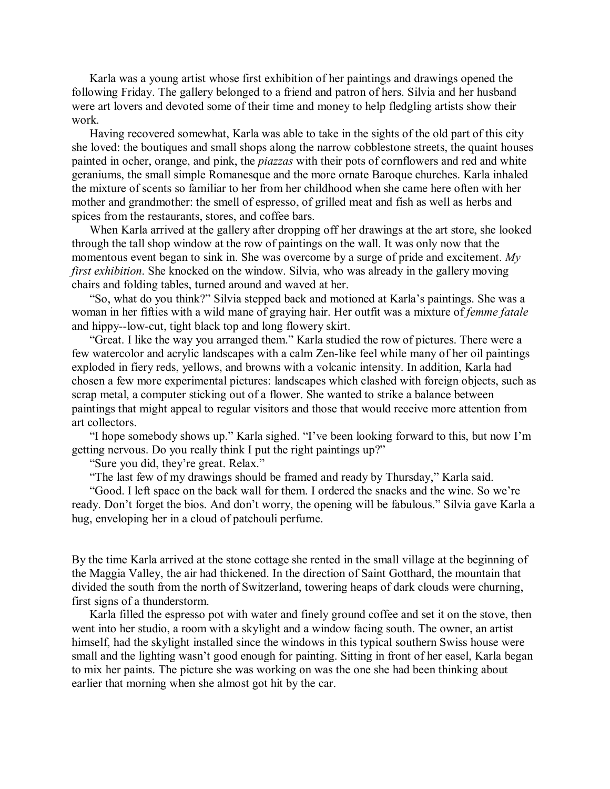Karla was a young artist whose first exhibition of her paintings and drawings opened the following Friday. The gallery belonged to a friend and patron of hers. Silvia and her husband were art lovers and devoted some of their time and money to help fledgling artists show their work.

Having recovered somewhat, Karla was able to take in the sights of the old part of this city she loved: the boutiques and small shops along the narrow cobblestone streets, the quaint houses painted in ocher, orange, and pink, the *piazzas* with their pots of cornflowers and red and white geraniums, the small simple Romanesque and the more ornate Baroque churches. Karla inhaled the mixture of scents so familiar to her from her childhood when she came here often with her mother and grandmother: the smell of espresso, of grilled meat and fish as well as herbs and spices from the restaurants, stores, and coffee bars.

When Karla arrived at the gallery after dropping off her drawings at the art store, she looked through the tall shop window at the row of paintings on the wall. It was only now that the momentous event began to sink in. She was overcome by a surge of pride and excitement. *My first exhibition*. She knocked on the window. Silvia, who was already in the gallery moving chairs and folding tables, turned around and waved at her.

"So, what do you think?" Silvia stepped back and motioned at Karla's paintings. She was a woman in her fifties with a wild mane of graying hair. Her outfit was a mixture of *femme fatale* and hippy--low-cut, tight black top and long flowery skirt.

"Great. I like the way you arranged them." Karla studied the row of pictures. There were a few watercolor and acrylic landscapes with a calm Zen-like feel while many of her oil paintings exploded in fiery reds, yellows, and browns with a volcanic intensity. In addition, Karla had chosen a few more experimental pictures: landscapes which clashed with foreign objects, such as scrap metal, a computer sticking out of a flower. She wanted to strike a balance between paintings that might appeal to regular visitors and those that would receive more attention from art collectors.

"I hope somebody shows up." Karla sighed. "I've been looking forward to this, but now I'm getting nervous. Do you really think I put the right paintings up?"

"Sure you did, they're great. Relax."

"The last few of my drawings should be framed and ready by Thursday," Karla said.

"Good. I left space on the back wall for them. I ordered the snacks and the wine. So we're ready. Don't forget the bios. And don't worry, the opening will be fabulous." Silvia gave Karla a hug, enveloping her in a cloud of patchouli perfume.

By the time Karla arrived at the stone cottage she rented in the small village at the beginning of the Maggia Valley, the air had thickened. In the direction of Saint Gotthard, the mountain that divided the south from the north of Switzerland, towering heaps of dark clouds were churning, first signs of a thunderstorm.

Karla filled the espresso pot with water and finely ground coffee and set it on the stove, then went into her studio, a room with a skylight and a window facing south. The owner, an artist himself, had the skylight installed since the windows in this typical southern Swiss house were small and the lighting wasn't good enough for painting. Sitting in front of her easel, Karla began to mix her paints. The picture she was working on was the one she had been thinking about earlier that morning when she almost got hit by the car.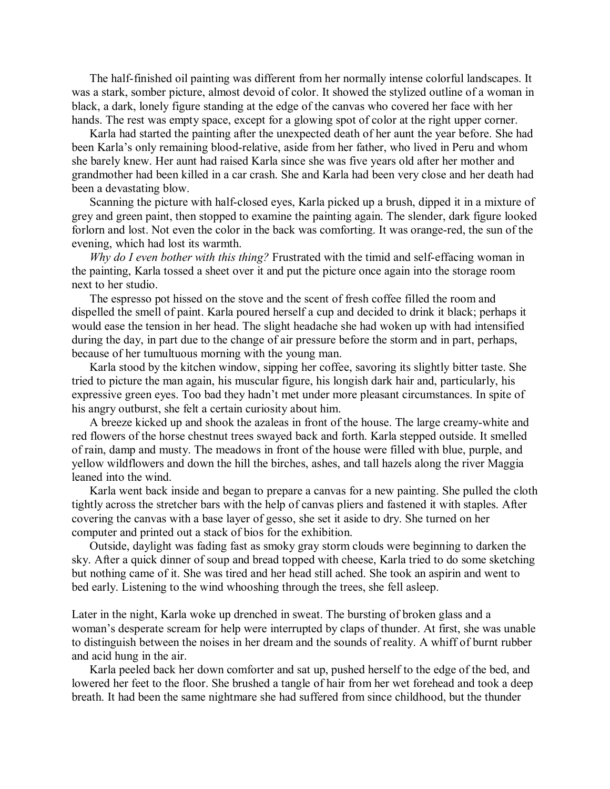The half-finished oil painting was different from her normally intense colorful landscapes. It was a stark, somber picture, almost devoid of color. It showed the stylized outline of a woman in black, a dark, lonely figure standing at the edge of the canvas who covered her face with her hands. The rest was empty space, except for a glowing spot of color at the right upper corner.

Karla had started the painting after the unexpected death of her aunt the year before. She had been Karla's only remaining blood-relative, aside from her father, who lived in Peru and whom she barely knew. Her aunt had raised Karla since she was five years old after her mother and grandmother had been killed in a car crash. She and Karla had been very close and her death had been a devastating blow.

Scanning the picture with half-closed eyes, Karla picked up a brush, dipped it in a mixture of grey and green paint, then stopped to examine the painting again. The slender, dark figure looked forlorn and lost. Not even the color in the back was comforting. It was orange-red, the sun of the evening, which had lost its warmth.

*Why do I even bother with this thing?* Frustrated with the timid and self-effacing woman in the painting, Karla tossed a sheet over it and put the picture once again into the storage room next to her studio.

The espresso pot hissed on the stove and the scent of fresh coffee filled the room and dispelled the smell of paint. Karla poured herself a cup and decided to drink it black; perhaps it would ease the tension in her head. The slight headache she had woken up with had intensified during the day, in part due to the change of air pressure before the storm and in part, perhaps, because of her tumultuous morning with the young man.

Karla stood by the kitchen window, sipping her coffee, savoring its slightly bitter taste. She tried to picture the man again, his muscular figure, his longish dark hair and, particularly, his expressive green eyes. Too bad they hadn't met under more pleasant circumstances. In spite of his angry outburst, she felt a certain curiosity about him.

A breeze kicked up and shook the azaleas in front of the house. The large creamy-white and red flowers of the horse chestnut trees swayed back and forth. Karla stepped outside. It smelled of rain, damp and musty. The meadows in front of the house were filled with blue, purple, and yellow wildflowers and down the hill the birches, ashes, and tall hazels along the river Maggia leaned into the wind.

Karla went back inside and began to prepare a canvas for a new painting. She pulled the cloth tightly across the stretcher bars with the help of canvas pliers and fastened it with staples. After covering the canvas with a base layer of gesso, she set it aside to dry. She turned on her computer and printed out a stack of bios for the exhibition.

Outside, daylight was fading fast as smoky gray storm clouds were beginning to darken the sky. After a quick dinner of soup and bread topped with cheese, Karla tried to do some sketching but nothing came of it. She was tired and her head still ached. She took an aspirin and went to bed early. Listening to the wind whooshing through the trees, she fell asleep.

Later in the night, Karla woke up drenched in sweat. The bursting of broken glass and a woman's desperate scream for help were interrupted by claps of thunder. At first, she was unable to distinguish between the noises in her dream and the sounds of reality. A whiff of burnt rubber and acid hung in the air.

Karla peeled back her down comforter and sat up, pushed herself to the edge of the bed, and lowered her feet to the floor. She brushed a tangle of hair from her wet forehead and took a deep breath. It had been the same nightmare she had suffered from since childhood, but the thunder